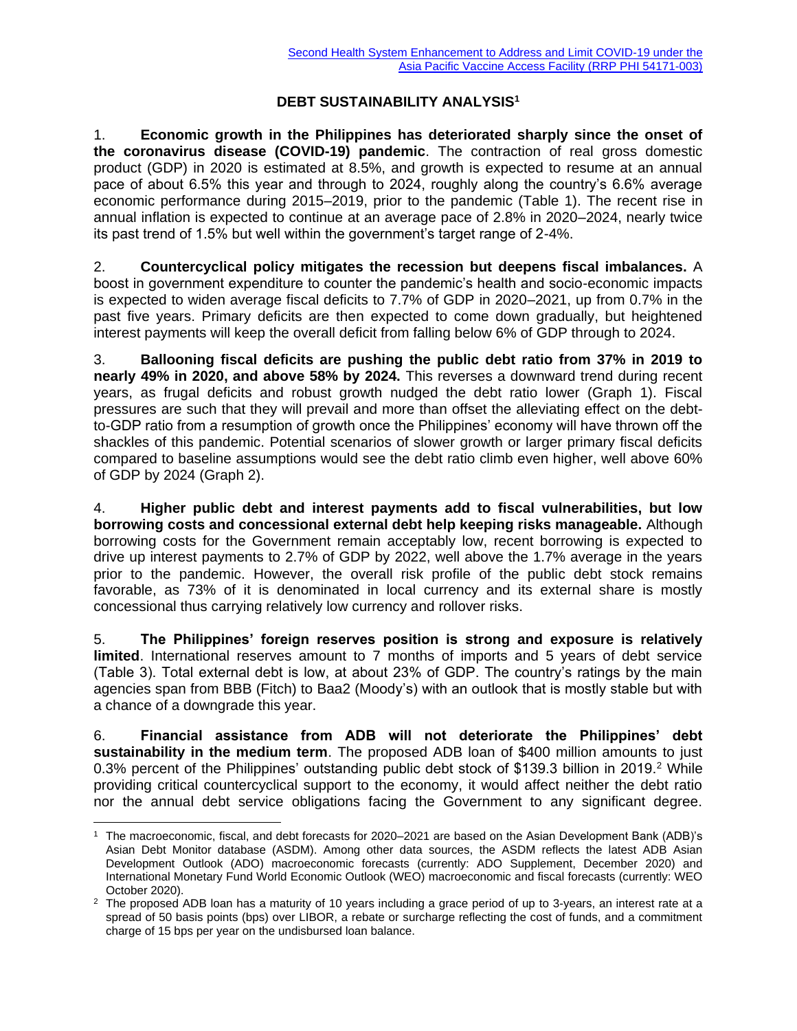## **DEBT SUSTAINABILITY ANALYSIS<sup>1</sup>**

1. **Economic growth in the Philippines has deteriorated sharply since the onset of the coronavirus disease (COVID-19) pandemic**. The contraction of real gross domestic product (GDP) in 2020 is estimated at 8.5%, and growth is expected to resume at an annual pace of about 6.5% this year and through to 2024, roughly along the country's 6.6% average economic performance during 2015–2019, prior to the pandemic (Table 1). The recent rise in annual inflation is expected to continue at an average pace of 2.8% in 2020–2024, nearly twice its past trend of 1.5% but well within the government's target range of 2-4%.

2. **Countercyclical policy mitigates the recession but deepens fiscal imbalances.** A boost in government expenditure to counter the pandemic's health and socio-economic impacts is expected to widen average fiscal deficits to 7.7% of GDP in 2020–2021, up from 0.7% in the past five years. Primary deficits are then expected to come down gradually, but heightened interest payments will keep the overall deficit from falling below 6% of GDP through to 2024.

3. **Ballooning fiscal deficits are pushing the public debt ratio from 37% in 2019 to nearly 49% in 2020, and above 58% by 2024.** This reverses a downward trend during recent years, as frugal deficits and robust growth nudged the debt ratio lower (Graph 1). Fiscal pressures are such that they will prevail and more than offset the alleviating effect on the debtto-GDP ratio from a resumption of growth once the Philippines' economy will have thrown off the shackles of this pandemic. Potential scenarios of slower growth or larger primary fiscal deficits compared to baseline assumptions would see the debt ratio climb even higher, well above 60% of GDP by 2024 (Graph 2).

4. **Higher public debt and interest payments add to fiscal vulnerabilities, but low borrowing costs and concessional external debt help keeping risks manageable.** Although borrowing costs for the Government remain acceptably low, recent borrowing is expected to drive up interest payments to 2.7% of GDP by 2022, well above the 1.7% average in the years prior to the pandemic. However, the overall risk profile of the public debt stock remains favorable, as 73% of it is denominated in local currency and its external share is mostly concessional thus carrying relatively low currency and rollover risks.

5. **The Philippines' foreign reserves position is strong and exposure is relatively limited**. International reserves amount to 7 months of imports and 5 years of debt service (Table 3). Total external debt is low, at about 23% of GDP. The country's ratings by the main agencies span from BBB (Fitch) to Baa2 (Moody's) with an outlook that is mostly stable but with a chance of a downgrade this year.

6. **Financial assistance from ADB will not deteriorate the Philippines' debt sustainability in the medium term**. The proposed ADB loan of \$400 million amounts to just 0.3% percent of the Philippines' outstanding public debt stock of \$139.3 billion in 2019.<sup>2</sup> While providing critical countercyclical support to the economy, it would affect neither the debt ratio nor the annual debt service obligations facing the Government to any significant degree.

<sup>1</sup> The macroeconomic, fiscal, and debt forecasts for 2020–2021 are based on the Asian Development Bank (ADB)'s Asian Debt Monitor database (ASDM). Among other data sources, the ASDM reflects the latest ADB Asian Development Outlook (ADO) macroeconomic forecasts (currently: ADO Supplement, December 2020) and International Monetary Fund World Economic Outlook (WEO) macroeconomic and fiscal forecasts (currently: WEO October 2020).

<sup>&</sup>lt;sup>2</sup> The proposed ADB loan has a maturity of 10 years including a grace period of up to 3-years, an interest rate at a spread of 50 basis points (bps) over LIBOR, a rebate or surcharge reflecting the cost of funds, and a commitment charge of 15 bps per year on the undisbursed loan balance.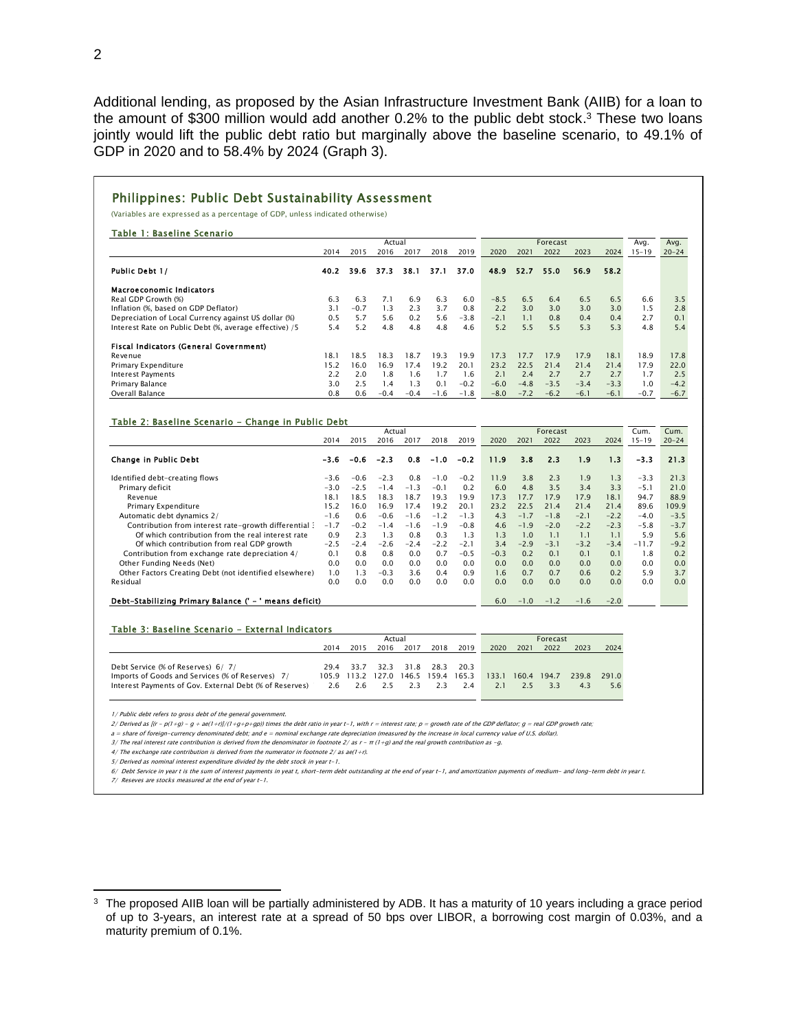Additional lending, as proposed by the Asian Infrastructure Investment Bank (AIIB) for a loan to the amount of \$300 million would add another 0.2% to the public debt stock.<sup>3</sup> These two loans jointly would lift the public debt ratio but marginally above the baseline scenario, to 49.1% of GDP in 2020 and to 58.4% by 2024 (Graph 3).

## Philippines: Public Debt Sustainability Assessment

(Variables are expressed as a percentage of GDP, unless indicated otherwise)

| Table 1: Baseline Scenario                             |        |        |        |        |        |        |        |          |        |        |        |           |           |
|--------------------------------------------------------|--------|--------|--------|--------|--------|--------|--------|----------|--------|--------|--------|-----------|-----------|
|                                                        | Actual |        |        |        |        |        |        | Forecast |        |        |        |           | Avg.      |
|                                                        | 2014   | 2015   | 2016   | 2017   | 2018   | 2019   | 2020   | 2021     | 2022   | 2023   | 2024   | $15 - 19$ | $20 - 24$ |
| Public Debt 1/                                         | 40.2   | 39.6   | 37.3   | 38.1   | 37.1   | 37.0   | 48.9   | 52.7     | 55.0   | 56.9   | 58.2   |           |           |
| <b>Macroeconomic Indicators</b>                        |        |        |        |        |        |        |        |          |        |        |        |           |           |
| Real GDP Growth (%)                                    | 6.3    | 6.3    | 7.1    | 6.9    | 6.3    | 6.0    | $-8.5$ | 6.5      | 6.4    | 6.5    | 6.5    | 6.6       | 3.5       |
| Inflation (%, based on GDP Deflator)                   | 3.1    | $-0.7$ | 1.3    | 2.3    | 3.7    | 0.8    | 2.2    | 3.0      | 3.0    | 3.0    | 3.0    | 1.5       | 2.8       |
| Depreciation of Local Currency against US dollar (%)   | 0.5    | 5.7    | 5.6    | 0.2    | 5.6    | $-3.8$ | $-2.1$ | 1.1      | 0.8    | 0.4    | 0.4    | 2.7       | 0.1       |
| Interest Rate on Public Debt (%, average effective) /5 | 5.4    | 5.2    | 4.8    | 4.8    | 4.8    | 4.6    | 5.2    | 5.5      | 5.5    | 5.3    | 5.3    | 4.8       | 5.4       |
| Fiscal Indicators (General Government)                 |        |        |        |        |        |        |        |          |        |        |        |           |           |
| Revenue                                                | 18.1   | 18.5   | 18.3   | 18.7   | 19.3   | 19.9   | 17.3   | 17.7     | 17.9   | 17.9   | 18.1   | 18.9      | 17.8      |
| <b>Primary Expenditure</b>                             | 15.2   | 6.0    | 16.9   | 17.4   | 19.2   | 20.1   | 23.2   | 22.5     | 21.4   | 21.4   | 21.4   | 17.9      | 22.0      |
| <b>Interest Payments</b>                               | 2.2    | 2.0    | 1.8    | 1.6    | 1.7    | 1.6    | 2.1    | 2.4      | 2.7    | 2.7    | 2.7    | 1.7       | 2.5       |
| Primary Balance                                        | 3.0    | 2.5    | 1.4    | 1.3    | 0.1    | $-0.2$ | $-6.0$ | $-4.8$   | $-3.5$ | $-3.4$ | $-3.3$ | 1.0       | $-4.2$    |
| Overall Balance                                        | 0.8    | 0.6    | $-0.4$ | $-0.4$ | $-1.6$ | $-1.8$ | $-8.0$ | $-7.2$   | $-6.2$ | $-6.1$ | $-6.1$ | $-0.7$    | $-6.7$    |

## Table 2: Baseline Scenario - Change in Public Debt

|                                                        | Actual |        |        |        |        |        | Forecast |        |        |        |        | Cum.      | Cum.      |
|--------------------------------------------------------|--------|--------|--------|--------|--------|--------|----------|--------|--------|--------|--------|-----------|-----------|
|                                                        | 2014   | 2015   | 2016   | 2017   | 2018   | 2019   | 2020     | 2021   | 2022   | 2023   | 2024   | $15 - 19$ | $20 - 24$ |
| Change in Public Debt                                  | $-3.6$ | $-0.6$ | $-2.3$ | 0.8    | $-1.0$ | $-0.2$ | 11.9     | 3.8    | 2.3    | 1.9    | 1.3    | $-3.3$    | 21.3      |
| Identified debt-creating flows                         | $-3.6$ | $-0.6$ | $-2.3$ | 0.8    | $-1.0$ | $-0.2$ | 11.9     | 3.8    | 2.3    | 1.9    | 1.3    | $-3.3$    | 21.3      |
| Primary deficit                                        | $-3.0$ | $-2.5$ | $-1.4$ | $-1.3$ | $-0.1$ | 0.2    | 6.0      | 4.8    | 3.5    | 3.4    | 3.3    | $-5.1$    | 21.0      |
| Revenue                                                | 18.1   | 18.5   | 18.3   | 18.7   | 19.3   | 19.9   | 17.3     | 17.7   | 17.9   | 17.9   | 18.1   | 94.7      | 88.9      |
| Primary Expenditure                                    | 15.2   | 16.0   | 16.9   | 17.4   | 19.2   | 20.1   | 23.2     | 22.5   | 21.4   | 21.4   | 21.4   | 89.6      | 109.9     |
| Automatic debt dynamics 2/                             | $-1.6$ | 0.6    | $-0.6$ | $-1.6$ | $-1.2$ | $-1.3$ | 4.3      | $-1.7$ | $-1.8$ | $-2.1$ | $-2.2$ | $-4.0$    | $-3.5$    |
| Contribution from interest rate-growth differential 3  | $-1.7$ | $-0.2$ | $-1.4$ | $-1.6$ | $-1.9$ | $-0.8$ | 4.6      | $-1.9$ | $-2.0$ | $-2.2$ | $-2.3$ | $-5.8$    | $-3.7$    |
| Of which contribution from the real interest rate      | 0.9    | 2.3    | 1.3    | 0.8    | 0.3    | 1.3    | 1.3      | 1.0    | 1.1    | 1.1    | 1.1    | 5.9       | 5.6       |
| Of which contribution from real GDP growth             | $-2.5$ | $-2.4$ | $-2.6$ | $-2.4$ | $-2.2$ | $-2.1$ | 3.4      | $-2.9$ | $-3.1$ | $-3.2$ | $-3.4$ | $-11.7$   | $-9.2$    |
| Contribution from exchange rate depreciation 4/        | 0.1    | 0.8    | 0.8    | 0.0    | 0.7    | $-0.5$ | $-0.3$   | 0.2    | 0.1    | 0.1    | 0.1    | 1.8       | 0.2       |
| Other Funding Needs (Net)                              | 0.0    | 0.0    | 0.0    | 0.0    | 0.0    | 0.0    | 0.0      | 0.0    | 0.0    | 0.0    | 0.0    | 0.0       | 0.0       |
| Other Factors Creating Debt (not identified elsewhere) | 1.0    | 1.3    | $-0.3$ | 3.6    | 0.4    | 0.9    | 1.6      | 0.7    | 0.7    | 0.6    | 0.2    | 5.9       | 3.7       |
| Residual                                               | 0.0    | 0.0    | 0.0    | 0.0    | 0.0    | 0.0    | 0.0      | 0.0    | 0.0    | 0.0    | 0.0    | 0.0       | 0.0       |
| Debt-Stabilizing Primary Balance (' - ' means deficit) |        |        |        |        |        |        | 6.0      | $-1.0$ | $-1.2$ | $-1.6$ | $-2.0$ |           |           |

## Table 3: Baseline Scenario - External Indicators

|                                                         |      |      | Actual            |      |                               | Forecast |      |      |                   |       |       |
|---------------------------------------------------------|------|------|-------------------|------|-------------------------------|----------|------|------|-------------------|-------|-------|
|                                                         | 2014 | 2015 | 2016              | 2017 | 2018                          | 2019     | 2020 | 2021 | 2022              | 2023  | 2024  |
|                                                         |      |      |                   |      |                               |          |      |      |                   |       |       |
| Debt Service (% of Reserves) 6/7/                       |      |      |                   |      | 29.4 33.7 32.3 31.8 28.3 20.3 |          |      |      |                   |       |       |
| Imports of Goods and Services (% of Reserves) 7/        |      |      | 105.9 113.2 127.0 |      | 146.5 159.4 165.3             |          |      |      | 133.1 160.4 194.7 | 239.8 | 291.0 |
| Interest Payments of Gov. External Debt (% of Reserves) |      |      | 2.6 2.6 2.5 2.3   |      | 2.3                           | 2.4      | 2.1  | 25   | -3.3              | 43    | 5.6   |

1/ Public debt refers to gross debt of the general governm

2/ Derived as [(r - p(1+g) - g + ae(1+r)]/(1+g+p+gp)) times the debt ratio in year t-1, with r = interest rate; p = growth rate of the GDP deflator; g = real GDP growth rate;

a = share of foreign-currency denominated debt; and e = nominal exchange rate depreciation (measured by the increase in local currency value of U.S. dollar).

3/ The real interest rate contribution is derived from the denominator in footnote 2/ as r - π (1+g) and the real growth contribution as -g.

4/ The exchange rate contribution is derived from the numerator in footnote 2/ as ae(1+r). 5/ Derived as nominal interest expenditure divided by the debt stock in year t-1.

6/ Debt Service in year t is the sum of interest payments in yeat t, short-term debt outstanding at the end of year t-1, and amortization payments of medium- and long-term debt in year t. 7/ Reseves are stocks measured at the end of year t-1.

 $3$  The proposed AIIB loan will be partially administered by ADB. It has a maturity of 10 years including a grace period of up to 3-years, an interest rate at a spread of 50 bps over LIBOR, a borrowing cost margin of 0.03%, and a maturity premium of 0.1%.